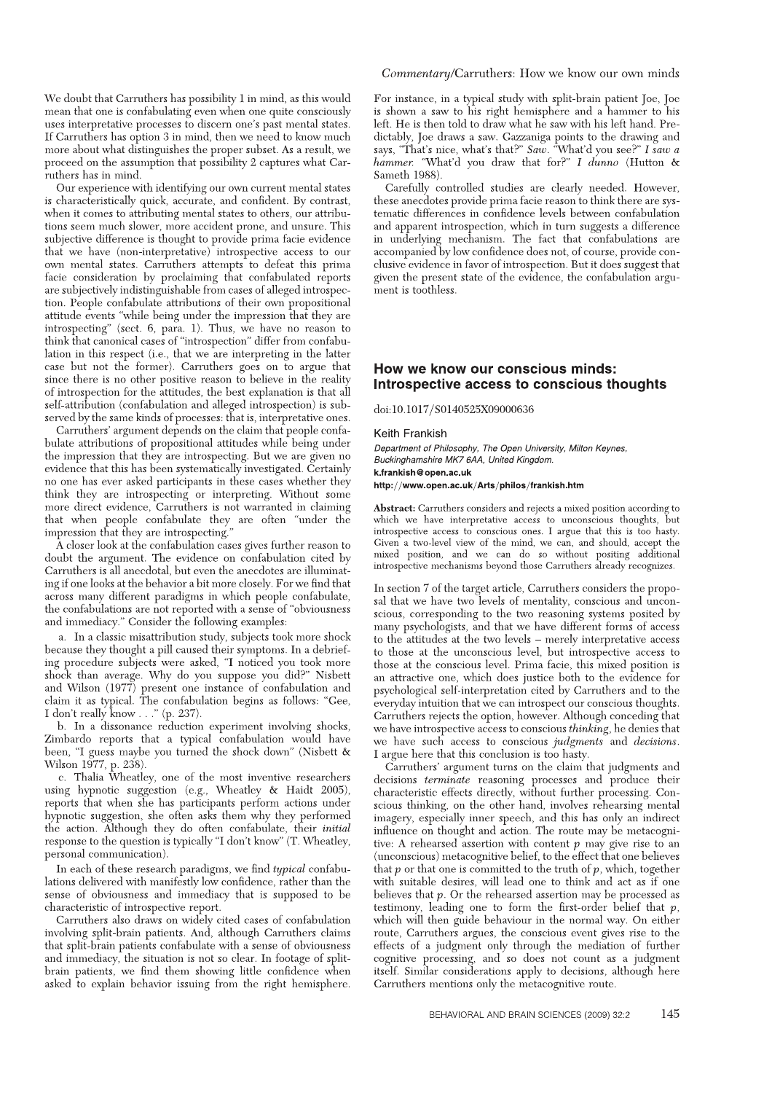We doubt that Carruthers has possibility 1 in mind, as this would mean that one is confabulating even when one quite consciously uses interpretative processes to discern one's past mental states. If Carruthers has option 3 in mind, then we need to know much more about what distinguishes the proper subset. As a result, we proceed on the assumption that possibility 2 captures what Carruthers has in mind.

Our experience with identifying our own current mental states is characteristically quick, accurate, and confident. By contrast, when it comes to attributing mental states to others, our attributions seem much slower, more accident prone, and unsure. This subjective difference is thought to provide prima facie evidence that we have (non-interpretative) introspective access to our own mental states. Carruthers attempts to defeat this prima facie consideration by proclaiming that confabulated reports are subjectively indistinguishable from cases of alleged introspection. People confabulate attributions of their own propositional attitude events "while being under the impression that they are introspecting" (sect. 6, para. 1). Thus, we have no reason to think that canonical cases of "introspection" differ from confabulation in this respect (i.e., that we are interpreting in the latter case but not the former). Carruthers goes on to argue that since there is no other positive reason to believe in the reality of introspection for the attitudes, the best explanation is that all self-attribution (confabulation and alleged introspection) is subserved by the same kinds of processes: that is, interpretative ones.

Carruthers' argument depends on the claim that people confabulate attributions of propositional attitudes while being under the impression that they are introspecting. But we are given no evidence that this has been systematically investigated. Certainly no one has ever asked participants in these cases whether they think they are introspecting or interpreting. Without some more direct evidence. Carruthers is not warranted in claiming that when people confabulate they are often "under the impression that they are introspecting.

A closer look at the confabulation cases gives further reason to doubt the argument. The evidence on confabulation cited by Carruthers is all anecdotal, but even the anecdotes are illuminating if one looks at the behavior a bit more closely. For we find that across many different paradigms in which people confabulate, the confabulations are not reported with a sense of "obviousness and immediacy." Consider the following examples:

a. In a classic misattribution study, subjects took more shock because they thought a pill caused their symptoms. In a debriefing procedure subjects were asked, "I noticed you took more shock than average. Why do you suppose you did?" Nisbett and Wilson (1977) present one instance of confabulation and claim it as typical. The confabulation begins as follows: "Gee,<br>I don't really know . . ." (p. 237).<br>b. In a dissonance reduction experiment involving shocks,

Zimbardo reports that a typical confabulation would have been, "I guess maybe you turned the shock down" (Nisbett & Wilson 1977, p. 238).

c. Thalia Wheatley, one of the most inventive researchers using hypnotic suggestion (e.g., Wheatley  $\&$  Haidt 2005), reports that when she has participants perform actions under hypnotic suggestion, she often asks them why they performed the action. Although they do often confabulate, their *initial* response to the question is typically "I don't know" (T. Wheatley, personal communication).

In each of these research paradigms, we find typical confabulations delivered with manifestly low confidence, rather than the sense of obviousness and immediacy that is supposed to be characteristic of introspective report.

Carruthers also draws on widely cited cases of confabulation involving split-brain patients. And, although Carruthers claims that split-brain patients confabulate with a sense of obviousness and immediacy, the situation is not so clear. In footage of splitbrain patients, we find them showing little confidence when asked to explain behavior issuing from the right hemisphere.

For instance, in a typical study with split-brain patient Joe, Joe is shown a saw to his right hemisphere and a hammer to his left. He is then told to draw what he saw with his left hand. Predictably, Joe draws a saw. Gazzaniga points to the drawing and says, "That's nice, what's that?" Saw. "What'd you see?" I saw a hammer. "What'd you draw that for?" I dunno (Hutton & Sameth 1988).

Carefully controlled studies are clearly needed. However, these anecdotes provide prima facie reason to think there are systematic differences in confidence levels between confabulation and apparent introspection, which in turn suggests a difference in underlying mechanism. The fact that confabulations are accompanied by low confidence does not, of course, provide conclusive evidence in favor of introspection. But it does suggest that given the present state of the evidence, the confabulation argument is toothless.

## How we know our conscious minds: Introspective access to conscious thoughts

doi:10.1017/S0140525X09000636

## Keith Frankish

Department of Philosophy, The Open University, Milton Keynes, Buckinghamshire MK7 6AA, United Kingdom. k.frankish@open.ac.uk

http://www.open.ac.uk/Arts/philos/frankish.htm

Abstract: Carruthers considers and rejects a mixed position according to which we have interpretative access to unconscious thoughts, but introspective access to conscious ones. I argue that this is too hasty. Given a two-level view of the mind, we can, and should, accept the mixed position, and we can do so without positing additional introspective mechanisms beyond those Carruthers already recognizes.

In section 7 of the target article, Carruthers considers the proposal that we have two levels of mentality, conscious and unconscious, corresponding to the two reasoning systems posited by many psychologists, and that we have different forms of access to the attitudes at the two levels - merely interpretative access to those at the unconscious level, but introspective access to those at the conscious level. Prima facie, this mixed position is an attractive one, which does justice both to the evidence for psychological self-interpretation cited by Carruthers and to the everyday intuition that we can introspect our conscious thoughts. Carruthers rejects the option, however. Although conceding that we have introspective access to conscious thinking, he denies that we have such access to conscious judgments and decisions. I argue here that this conclusion is too hasty.

Carruthers' argument turns on the claim that judgments and decisions terminate reasoning processes and produce their characteristic effects directly, without further processing. Conscious thinking, on the other hand, involves rehearsing mental imagery, especially inner speech, and this has only an indirect influence on thought and action. The route may be metacognitive: A rehearsed assertion with content  $p$  may give rise to an (unconscious) metacognitive belief, to the effect that one believes that  $p$  or that one is committed to the truth of  $p$ , which, together with suitable desires, will lead one to think and act as if one believes that  $p$ . Or the rehearsed assertion may be processed as testimony, leading one to form the first-order belief that  $p$ , which will then guide behaviour in the normal way. On either route, Carruthers argues, the conscious event gives rise to the effects of a judgment only through the mediation of further cognitive processing, and so does not count as a judgment itself. Similar considerations apply to decisions, although here Carruthers mentions only the metacognitive route.